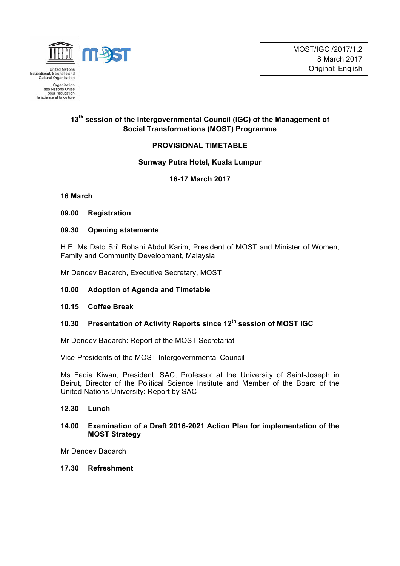

# **13th session of the Intergovernmental Council (IGC) of the Management of Social Transformations (MOST) Programme**

# **PROVISIONAL TIMETABLE**

### **Sunway Putra Hotel, Kuala Lumpur**

**16-17 March 2017**

### **16 March**

### **09.00 Registration**

### **09.30 Opening statements**

H.E. Ms Dato Sri' Rohani Abdul Karim, President of MOST and Minister of Women, Family and Community Development, Malaysia

Mr Dendev Badarch, Executive Secretary, MOST

# **10.00 Adoption of Agenda and Timetable**

#### **10.15 Coffee Break**

# **10.30 Presentation of Activity Reports since 12th session of MOST IGC**

Mr Dendev Badarch: Report of the MOST Secretariat

Vice-Presidents of the MOST Intergovernmental Council

Ms Fadia Kiwan, President, SAC, Professor at the University of Saint-Joseph in Beirut, Director of the Political Science Institute and Member of the Board of the United Nations University: Report by SAC

### **12.30 Lunch**

### **14.00 Examination of a Draft 2016-2021 Action Plan for implementation of the MOST Strategy**

Mr Dendev Badarch

**17.30 Refreshment**